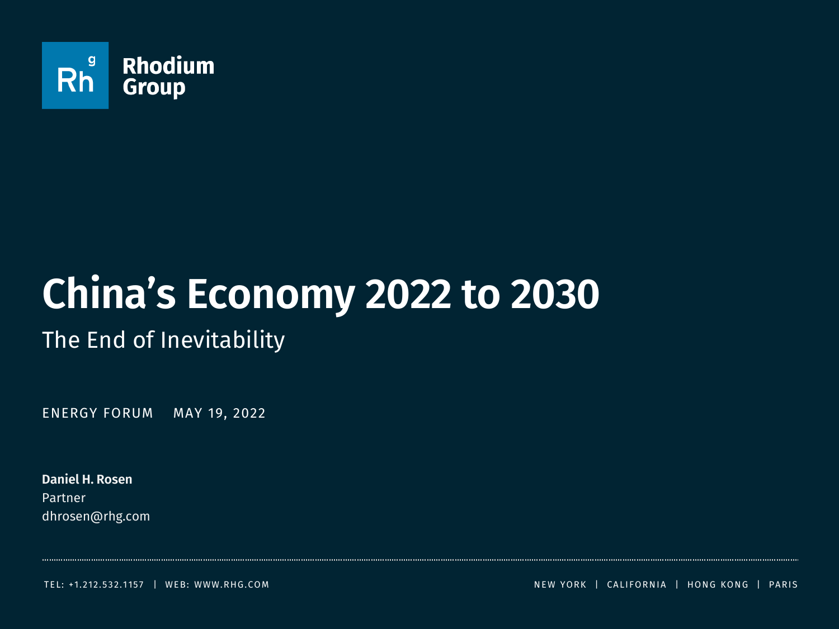

# **China's Economy 2022 to 2030**

The End of Inevitability

ENERGY FORUM MAY 19, 2022

**Daniel H. Rosen** Partner dhrosen@rhg.com

TEL: +1.212.5 3 2.1 15 7 | WEB: WWW.RHG.COM N EW YORK | CALIFORN IA | HON G KON G | PARIS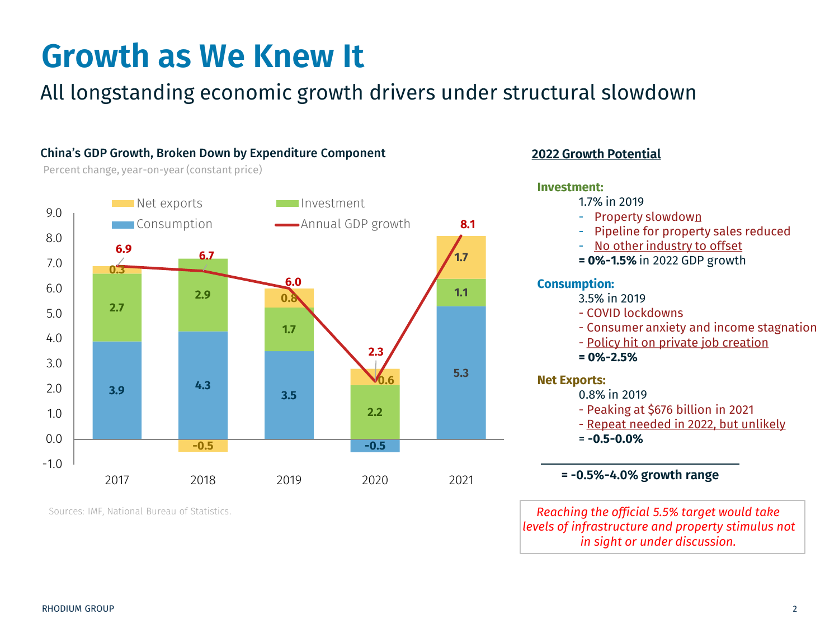# **Growth as We Knew It**

## All longstanding economic growth drivers under structural slowdown

### China's GDP Growth, Broken Down by Expenditure Component

Percent change, year-on-year (constant price)



Sources: IMF, National Bureau of Statistics.

### **2022 Growth Potential**



**= -0.5%-4.0% growth range**

*Reaching the official 5.5% target would take levels of infrastructure and property stimulus not in sight or under discussion.*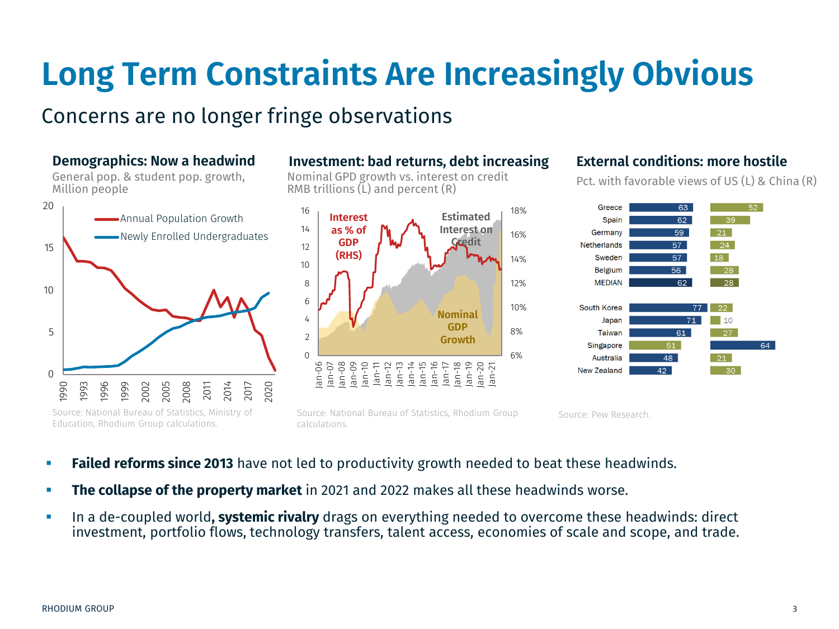# **Long Term Constraints Are Increasingly Obvious**

### Concerns are no longer fringe observations

General pop. & student pop. growth, Million people



### **Demographics: Now a headwind Investment: bad returns, debt increasing External conditions: more hostile**

Nominal GPD growth vs. interest on credit RMB trillions  $(L)$  and percent  $(R)$ 



Source: National Bureau of Statistics, Rhodium Group calculations.

Pct. with favorable views of US (L) & China (R)



Source: Pew Research.

- **Failed reforms since 2013** have not led to productivity growth needed to beat these headwinds.
- **The collapse of the property market** in 2021 and 2022 makes all these headwinds worse.
- In a de-coupled world**, systemic rivalry** drags on everything needed to overcome these headwinds: direct investment, portfolio flows, technology transfers, talent access, economies of scale and scope, and trade.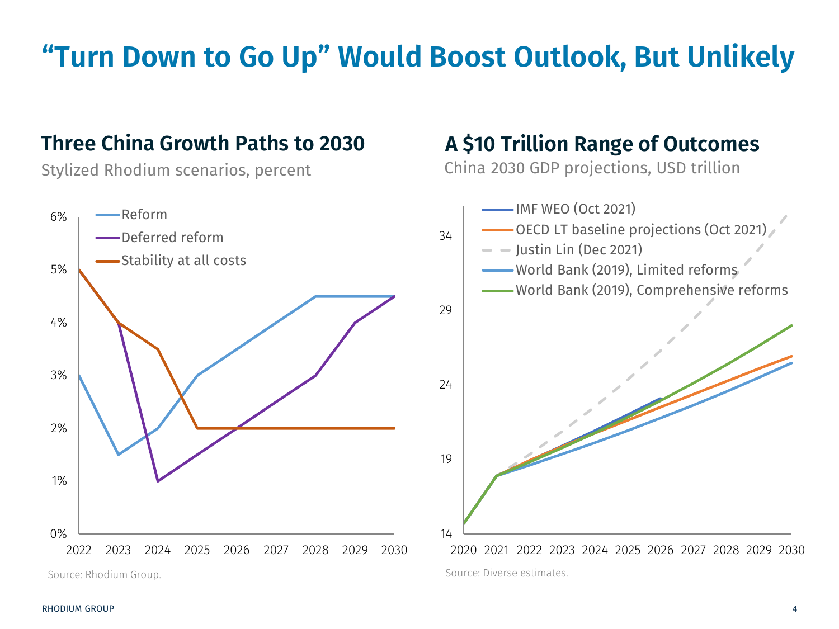## **"Turn Down to Go Up" Would Boost Outlook, But Unlikely**

## **Three China Growth Paths to 2030**

Stylized Rhodium scenarios, percent



Source: Rhodium Group.

## **A \$10 Trillion Range of Outcomes**

China 2030 GDP projections, USD trillion